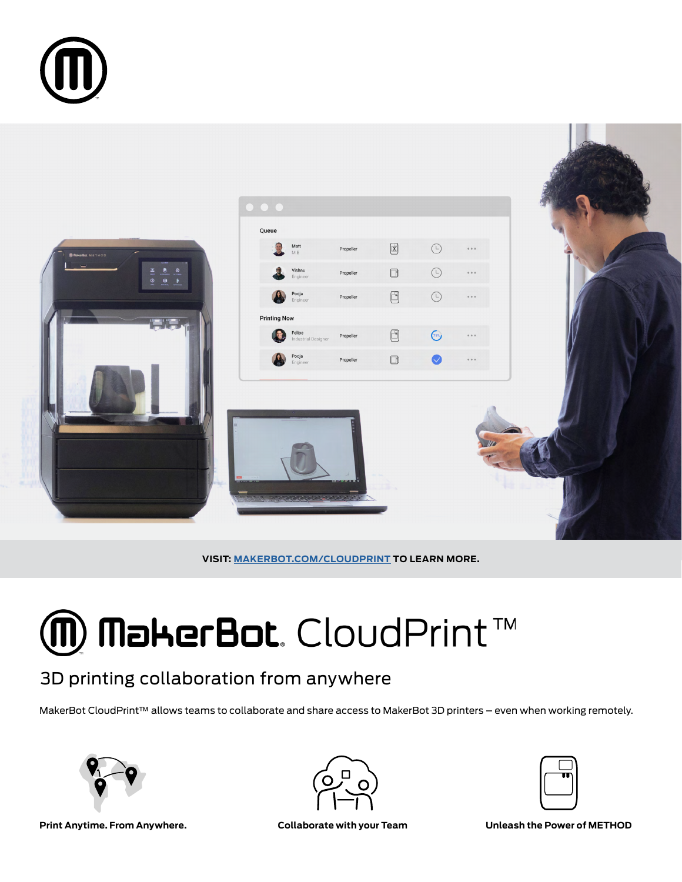



**VISIT: [MAKERBOT.COM/CLOUDPRINT](makerbot.com/cloudprint) TO LEARN MORE.**

# $\bm{\textcircled{m}}$  MakerBot. CloudPrint  $\text{TM}$

### 3D printing collaboration from anywhere

MakerBot CloudPrint™ allows teams to collaborate and share access to MakerBot 3D printers – even when working remotely.





**Print Anytime. From Anywhere. Collaborate with your Team Unleash the Power of METHOD**